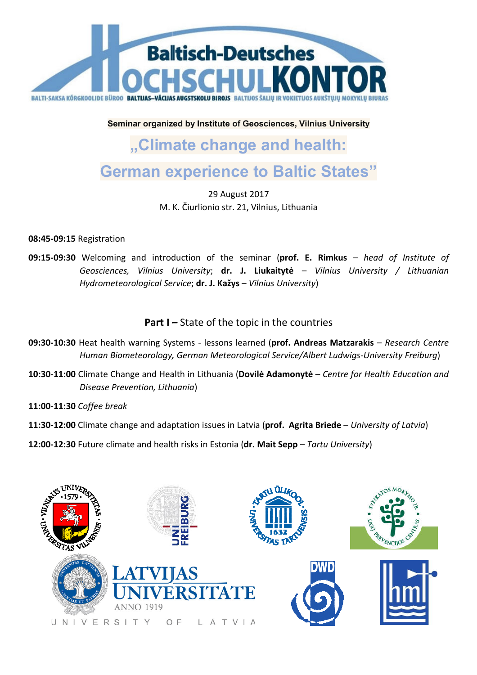

**Seminar organized by Institute of Geosciences, Vilnius University** 

## **"Climate change and health:**

## **German experience to Baltic States"**

M. K. Čiurli Čiurlionio str. 21, Vilnius, Lithuania 29 August 2017

**08:45-09:15** Registration

**09:15-09:30** Welcoming and introduction of the seminar (**prof. E. Rimkus** – *head of Institute of*  Geosciences, Vilnius University; dr. J. Liukaitytė - Vilnius University / Lithuanian *Hydrometeorological Service* ; **dr. J. Kažys** – *Vilnius University*)

Part I-State of the topic in the countries

- 09:30-10:30 Heat health warning Systems lessons learned (prof. Andreas Matzarakis Research Centre *Human Biometeorology, German Meteorological Service/Albert Ludwigs Ludwigs-University Freiburg*)
- **10:30-11:00** Climate Change and Health in Lithuania ( **Dovilė Adamonytė** *Centre for Health Education and*  **Disease Prevention, Lithuania)**

**11:00-11:30** *Coffee break*

**11:30-12:00** Climate change and adaptation issues in Latvia ( **prof. Agrita Briede** – *University of Latvia*)

**12:00-12:30** Future climate and health risks in Estonia (**dr. Mait Sepp** – *Tartu University* )